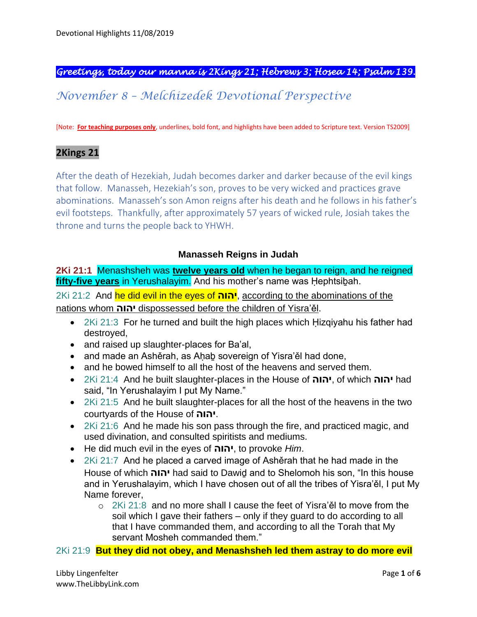## *Greetings, today our manna is 2Kings 21; Hebrews 3; Hosea 14; Psalm 139.*

# *November 8 – Melchizedek Devotional Perspective*

[Note: **For teaching purposes only**, underlines, bold font, and highlights have been added to Scripture text. Version TS2009]

#### **2Kings 21**

After the death of Hezekiah, Judah becomes darker and darker because of the evil kings that follow. Manasseh, Hezekiah's son, proves to be very wicked and practices grave abominations. Manasseh's son Amon reigns after his death and he follows in his father's evil footsteps. Thankfully, after approximately 57 years of wicked rule, Josiah takes the throne and turns the people back to YHWH.

#### **Manasseh Reigns in Judah**

**2Ki 21:1** Menashsheh was **twelve years old** when he began to reign, and he reigned **fifty-five years** in Yerushalayim. And his mother's name was Ḥephtsiḇah.

2Ki 21:2 And he did evil in the eyes of **יהוה**, according to the abominations of the nations whom **יהוה** dispossessed before the children of Yisra'ěl.

- 2Ki 21:3 For he turned and built the high places which Hizgiyahu his father had destroyed,
- and raised up slaughter-places for Ba'al,
- and made an Ashěrah, as Ahab sovereign of Yisra'ěl had done,
- and he bowed himself to all the host of the heavens and served them.
- 2Ki 21:4 And he built slaughter-places in the House of **יהוה**, of which **יהוה** had said, "In Yerushalayim I put My Name."
- 2Ki 21:5 And he built slaughter-places for all the host of the heavens in the two courtyards of the House of **יהוה**.
- 2Ki 21:6 And he made his son pass through the fire, and practiced magic, and used divination, and consulted spiritists and mediums.
- He did much evil in the eyes of **יהוה**, to provoke *Him*.
- 2Ki 21:7 And he placed a carved image of Ashěrah that he had made in the House of which **יהוה** had said to Dawiḏ and to Shelomoh his son, "In this house and in Yerushalayim, which I have chosen out of all the tribes of Yisra'ěl, I put My Name forever,
	- o 2Ki 21:8 and no more shall I cause the feet of Yisra'ěl to move from the soil which I gave their fathers – only if they guard to do according to all that I have commanded them, and according to all the Torah that My servant Mosheh commanded them."

2Ki 21:9 **But they did not obey, and Menashsheh led them astray to do more evil**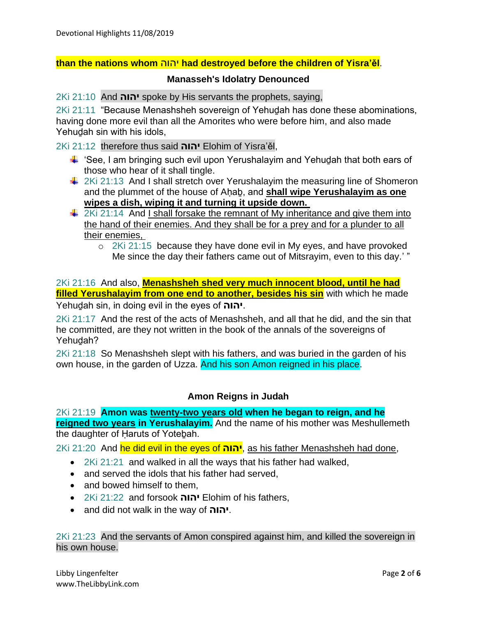#### **than the nations whom** יהוה **had destroyed before the children of Yisra'ěl**.

#### **Manasseh's Idolatry Denounced**

2Ki 21:10 And **יהוה** spoke by His servants the prophets, saying,

2Ki 21:11 "Because Menashsheh sovereign of Yehuḏah has done these abominations, having done more evil than all the Amorites who were before him, and also made Yehudah sin with his idols,

2Ki 21:12 therefore thus said **יהוה** Elohim of Yisra'ěl,

- $\ddot{\bullet}$  'See, I am bringing such evil upon Yerushalayim and Yehudah that both ears of those who hear of it shall tingle.
- $\downarrow$  2Ki 21:13 And I shall stretch over Yerushalayim the measuring line of Shomeron and the plummet of the house of Aḥaḇ, and **shall wipe Yerushalayim as one wipes a dish, wiping it and turning it upside down.**
- $\frac{1}{2}$  2Ki 21:14 And I shall forsake the remnant of My inheritance and give them into the hand of their enemies. And they shall be for a prey and for a plunder to all their enemies,
	- o 2Ki 21:15 because they have done evil in My eyes, and have provoked Me since the day their fathers came out of Mitsrayim, even to this day.' "

2Ki 21:16 And also, **Menashsheh shed very much innocent blood, until he had filled Yerushalayim from one end to another, besides his sin** with which he made

Yehuḏah sin, in doing evil in the eyes of **יהוה**.

2Ki 21:17 And the rest of the acts of Menashsheh, and all that he did, and the sin that he committed, are they not written in the book of the annals of the sovereigns of Yehudah?

2Ki 21:18 So Menashsheh slept with his fathers, and was buried in the garden of his own house, in the garden of Uzza. And his son Amon reigned in his place.

#### **Amon Reigns in Judah**

2Ki 21:19 **Amon was twenty-two years old when he began to reign, and he reigned two years in Yerushalayim.** And the name of his mother was Meshullemeth the daughter of Haruts of Yotebah.

2Ki 21:20 And he did evil in the eyes of **יהוה**, as his father Menashsheh had done,

- 2Ki 21:21 and walked in all the ways that his father had walked,
- and served the idols that his father had served.
- and bowed himself to them.
- 2Ki 21:22 and forsook **יהוה** Elohim of his fathers,
- and did not walk in the way of **יהוה**.

2Ki 21:23 And the servants of Amon conspired against him, and killed the sovereign in his own house.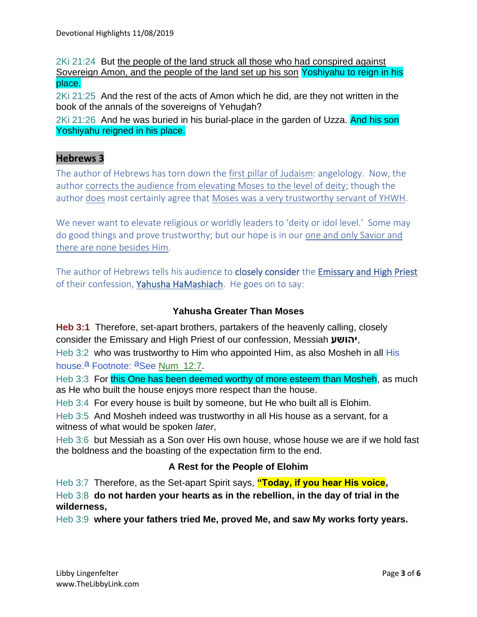2Ki 21:24 But the people of the land struck all those who had conspired against Sovereign Amon, and the people of the land set up his son Yoshiyahu to reign in his place.

2Ki 21:25 And the rest of the acts of Amon which he did, are they not written in the book of the annals of the sovereigns of Yehuḏah?

2Ki 21:26 And he was buried in his burial-place in the garden of Uzza. And his son Yoshiyahu reigned in his place.

## **Hebrews 3**

The author of Hebrews has torn down the first pillar of Judaism: angelology. Now, the author corrects the audience from elevating Moses to the level of deity; though the author does most certainly agree that Moses was a very trustworthy servant of YHWH.

We never want to elevate religious or worldly leaders to 'deity or idol level.' Some may do good things and prove trustworthy; but our hope is in our one and only Savior and there are none besides Him.

The author of Hebrews tells his audience to **closely consider** the **Emissary and High Priest** of their confession, Yahusha HaMashiach. He goes on to say:

## **Yahusha Greater Than Moses**

**Heb 3:1** Therefore, set-apart brothers, partakers of the heavenly calling, closely consider the Emissary and High Priest of our confession, Messiah **יהושע**,

Heb 3:2 who was trustworthy to Him who appointed Him, as also Mosheh in all His house.<sup>a</sup> Footnote: <sup>a</sup>See Num\_12:7.

Heb 3:3 For this One has been deemed worthy of more esteem than Mosheh, as much as He who built the house enjoys more respect than the house.

Heb 3:4 For every house is built by someone, but He who built all is Elohim.

Heb 3:5 And Mosheh indeed was trustworthy in all His house as a servant, for a witness of what would be spoken *later*,

Heb 3:6 but Messiah as a Son over His own house, whose house we are if we hold fast the boldness and the boasting of the expectation firm to the end.

## **A Rest for the People of Elohim**

Heb 3:7 Therefore, as the Set-apart Spirit says, **"Today, if you hear His voice,**

Heb 3:8 **do not harden your hearts as in the rebellion, in the day of trial in the wilderness,**

Heb 3:9 **where your fathers tried Me, proved Me, and saw My works forty years.**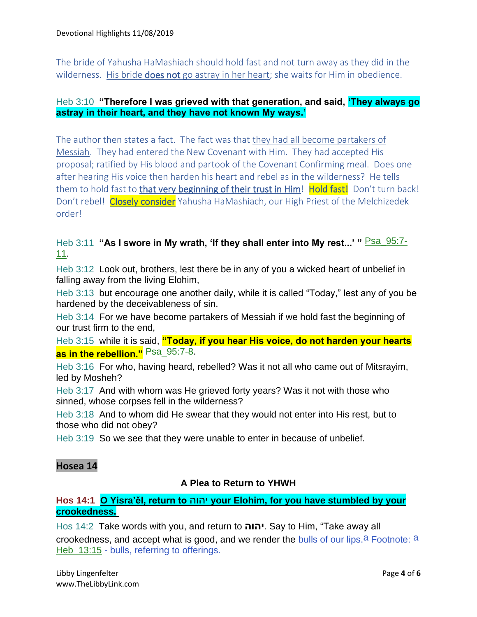The bride of Yahusha HaMashiach should hold fast and not turn away as they did in the wilderness. His bride **does not** go astray in her heart; she waits for Him in obedience.

#### Heb 3:10 **"Therefore I was grieved with that generation, and said, 'They always go astray in their heart, and they have not known My ways.'**

The author then states a fact. The fact was that they had all become partakers of Messiah. They had entered the New Covenant with Him. They had accepted His proposal; ratified by His blood and partook of the Covenant Confirming meal. Does one after hearing His voice then harden his heart and rebel as in the wilderness? He tells them to hold fast to that very beginning of their trust in Him! Hold fast! Don't turn back! Don't rebel! Closely consider Yahusha HaMashiach, our High Priest of the Melchizedek order!

## Heb 3:11 "As I swore in My wrath, 'If they shall enter into My rest...' " **Psa\_95:7-**11.

Heb 3:12 Look out, brothers, lest there be in any of you a wicked heart of unbelief in falling away from the living Elohim,

Heb 3:13 but encourage one another daily, while it is called "Today," lest any of you be hardened by the deceivableness of sin.

Heb 3:14 For we have become partakers of Messiah if we hold fast the beginning of our trust firm to the end,

Heb 3:15 while it is said, **"Today, if you hear His voice, do not harden your hearts as in the rebellion."** Psa\_95:7-8.

Heb 3:16 For who, having heard, rebelled? Was it not all who came out of Mitsrayim, led by Mosheh?

Heb 3:17 And with whom was He grieved forty years? Was it not with those who sinned, whose corpses fell in the wilderness?

Heb 3:18 And to whom did He swear that they would not enter into His rest, but to those who did not obey?

Heb 3:19 So we see that they were unable to enter in because of unbelief.

## **Hosea 14**

#### **A Plea to Return to YHWH**

## **Hos 14:1 O Yisra'ěl, return to** יהוה **your Elohim, for you have stumbled by your crookedness.**

Hos 14:2 Take words with you, and return to **יהוה**. Say to Him, "Take away all crookedness, and accept what is good, and we render the bulls of our lips.  $a^2$  Footnote:  $a$ Heb\_13:15 - bulls, referring to offerings.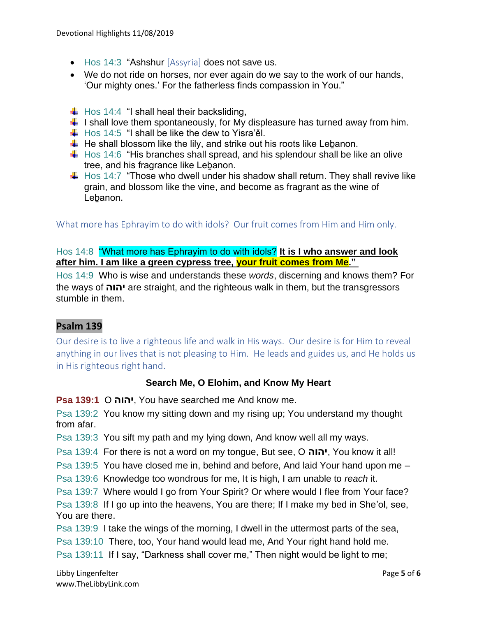- Hos 14:3 "Ashshur [Assyria] does not save us.
- We do not ride on horses, nor ever again do we say to the work of our hands, 'Our mighty ones.' For the fatherless finds compassion in You."
- $\downarrow$  Hos 14:4 "I shall heal their backsliding,
- $\ddot{\phantom{1}}$  I shall love them spontaneously, for My displeasure has turned away from him.
- $\downarrow$  Hos 14:5 "I shall be like the dew to Yisra'ěl.
- $\ddotplus$  He shall blossom like the lily, and strike out his roots like Lebanon.
- $\pm$  Hos 14:6 "His branches shall spread, and his splendour shall be like an olive tree, and his fragrance like Leḇanon.
- $\ddot$  Hos 14:7 "Those who dwell under his shadow shall return. They shall revive like grain, and blossom like the vine, and become as fragrant as the wine of Lebanon.

What more has Ephrayim to do with idols? Our fruit comes from Him and Him only.

## Hos 14:8 "What more has Ephrayim to do with idols? **It is I who answer and look after him. I am like a green cypress tree, your fruit comes from Me."**

Hos 14:9 Who is wise and understands these *words*, discerning and knows them? For the ways of **יהוה** are straight, and the righteous walk in them, but the transgressors stumble in them.

## **Psalm 139**

Our desire is to live a righteous life and walk in His ways. Our desire is for Him to reveal anything in our lives that is not pleasing to Him. He leads and guides us, and He holds us in His righteous right hand.

#### **Search Me, O Elohim, and Know My Heart**

**Psa 139:1** O **יהוה**, You have searched me And know me.

Psa 139:2 You know my sitting down and my rising up; You understand my thought from afar.

Psa 139:3 You sift my path and my lying down, And know well all my ways.

Psa 139:4 For there is not a word on my tongue, But see, O **יהוה**, You know it all!

Psa 139:5 You have closed me in, behind and before, And laid Your hand upon me –

Psa 139:6 Knowledge too wondrous for me, It is high, I am unable to *reach* it.

Psa 139:7 Where would I go from Your Spirit? Or where would I flee from Your face?

Psa 139:8 If I go up into the heavens, You are there; If I make my bed in She'ol, see, You are there.

Psa 139:9 I take the wings of the morning, I dwell in the uttermost parts of the sea, Psa 139:10 There, too, Your hand would lead me, And Your right hand hold me.

Psa 139:11 If I say, "Darkness shall cover me," Then night would be light to me;